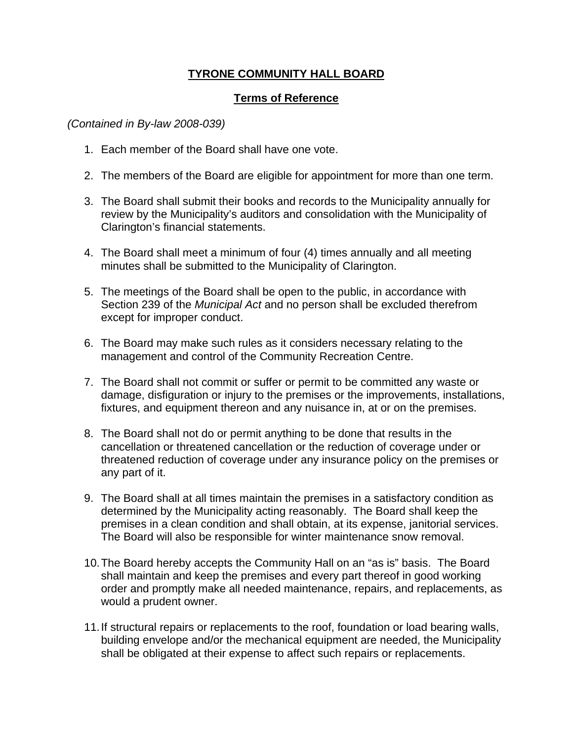## **TYRONE COMMUNITY HALL BOARD**

## **Terms of Reference**

## *(Contained in By-law 2008-039)*

- 1. Each member of the Board shall have one vote.
- 2. The members of the Board are eligible for appointment for more than one term.
- 3. The Board shall submit their books and records to the Municipality annually for review by the Municipality's auditors and consolidation with the Municipality of Clarington's financial statements.
- 4. The Board shall meet a minimum of four (4) times annually and all meeting minutes shall be submitted to the Municipality of Clarington.
- 5. The meetings of the Board shall be open to the public, in accordance with Section 239 of the *Municipal Act* and no person shall be excluded therefrom except for improper conduct.
- 6. The Board may make such rules as it considers necessary relating to the management and control of the Community Recreation Centre.
- 7. The Board shall not commit or suffer or permit to be committed any waste or damage, disfiguration or injury to the premises or the improvements, installations, fixtures, and equipment thereon and any nuisance in, at or on the premises.
- 8. The Board shall not do or permit anything to be done that results in the cancellation or threatened cancellation or the reduction of coverage under or threatened reduction of coverage under any insurance policy on the premises or any part of it.
- 9. The Board shall at all times maintain the premises in a satisfactory condition as determined by the Municipality acting reasonably. The Board shall keep the premises in a clean condition and shall obtain, at its expense, janitorial services. The Board will also be responsible for winter maintenance snow removal.
- 10.The Board hereby accepts the Community Hall on an "as is" basis. The Board shall maintain and keep the premises and every part thereof in good working order and promptly make all needed maintenance, repairs, and replacements, as would a prudent owner.
- 11.If structural repairs or replacements to the roof, foundation or load bearing walls, building envelope and/or the mechanical equipment are needed, the Municipality shall be obligated at their expense to affect such repairs or replacements.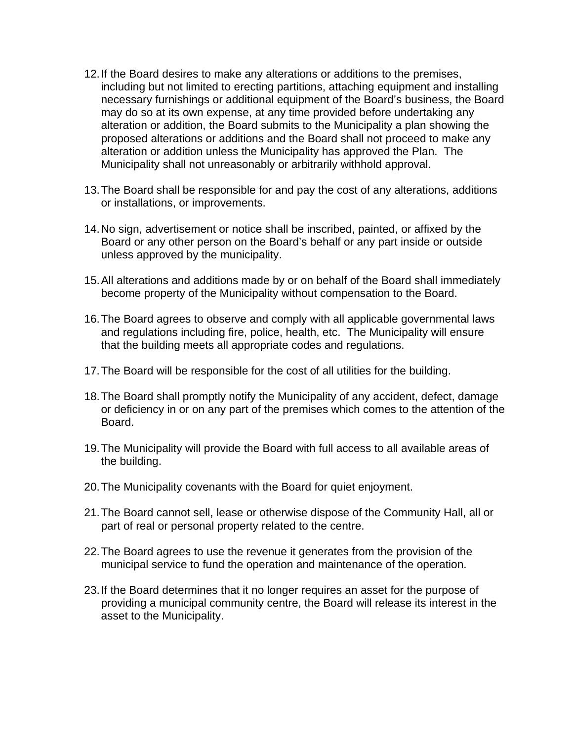- 12.If the Board desires to make any alterations or additions to the premises, including but not limited to erecting partitions, attaching equipment and installing necessary furnishings or additional equipment of the Board's business, the Board may do so at its own expense, at any time provided before undertaking any alteration or addition, the Board submits to the Municipality a plan showing the proposed alterations or additions and the Board shall not proceed to make any alteration or addition unless the Municipality has approved the Plan. The Municipality shall not unreasonably or arbitrarily withhold approval.
- 13.The Board shall be responsible for and pay the cost of any alterations, additions or installations, or improvements.
- 14.No sign, advertisement or notice shall be inscribed, painted, or affixed by the Board or any other person on the Board's behalf or any part inside or outside unless approved by the municipality.
- 15.All alterations and additions made by or on behalf of the Board shall immediately become property of the Municipality without compensation to the Board.
- 16.The Board agrees to observe and comply with all applicable governmental laws and regulations including fire, police, health, etc. The Municipality will ensure that the building meets all appropriate codes and regulations.
- 17.The Board will be responsible for the cost of all utilities for the building.
- 18.The Board shall promptly notify the Municipality of any accident, defect, damage or deficiency in or on any part of the premises which comes to the attention of the Board.
- 19.The Municipality will provide the Board with full access to all available areas of the building.
- 20.The Municipality covenants with the Board for quiet enjoyment.
- 21.The Board cannot sell, lease or otherwise dispose of the Community Hall, all or part of real or personal property related to the centre.
- 22.The Board agrees to use the revenue it generates from the provision of the municipal service to fund the operation and maintenance of the operation.
- 23.If the Board determines that it no longer requires an asset for the purpose of providing a municipal community centre, the Board will release its interest in the asset to the Municipality.